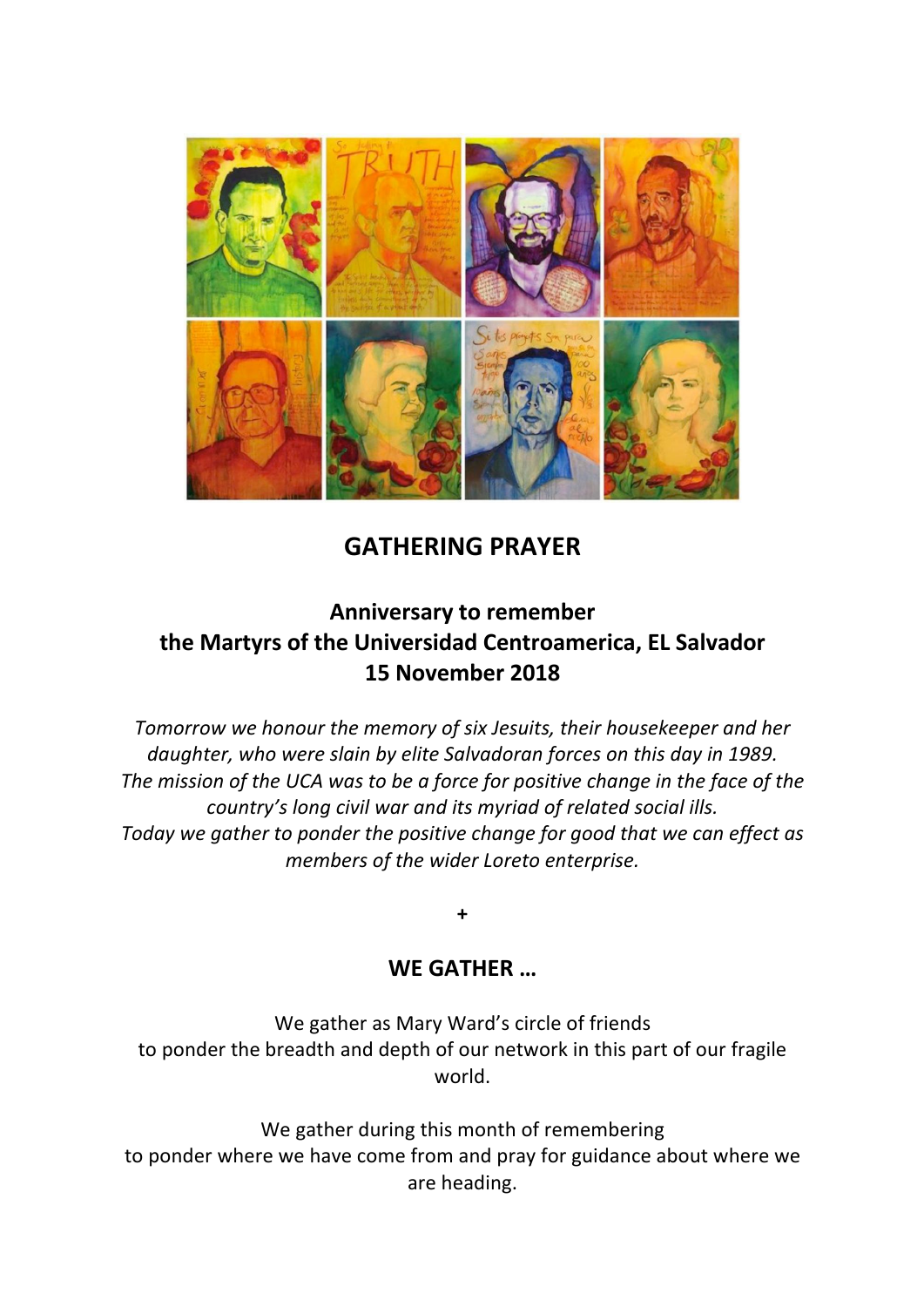

# **GATHERING PRAYER**

## **Anniversary to remember the Martyrs of the Universidad Centroamerica, EL Salvador 15 November 2018**

*Tomorrow we honour the memory of six Jesuits, their housekeeper and her daughter, who were slain by elite Salvadoran forces on this day in 1989. The mission of the UCA was to be a force for positive change in the face of the country's long civil war and its myriad of related social ills. Today we gather to ponder the positive change for good that we can effect as members of the wider Loreto enterprise.*

## **WE GATHER …**

**+**

We gather as Mary Ward's circle of friends to ponder the breadth and depth of our network in this part of our fragile world.

We gather during this month of remembering to ponder where we have come from and pray for guidance about where we are heading.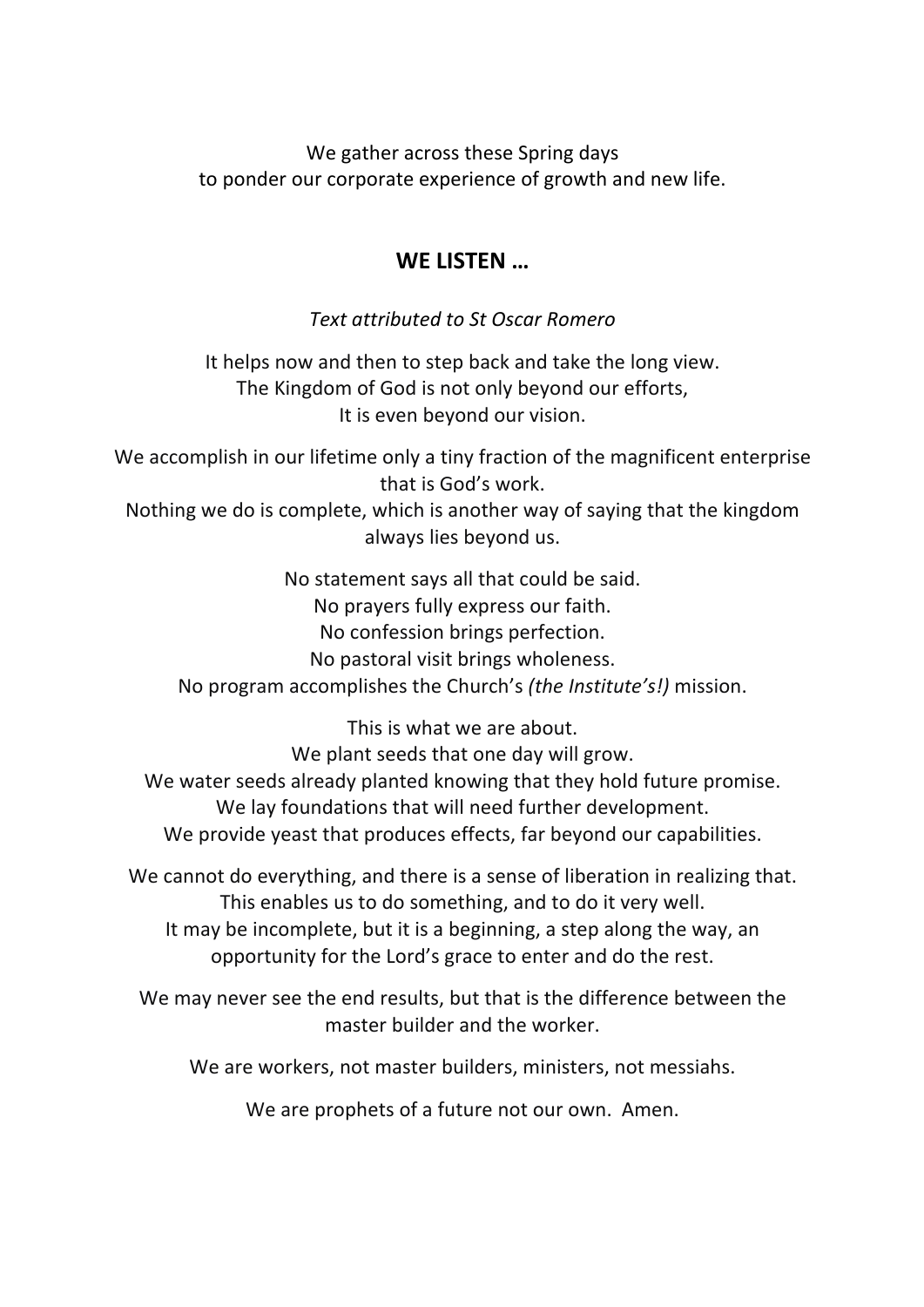We gather across these Spring days to ponder our corporate experience of growth and new life.

## **WE LISTEN …**

#### *Text attributed to St Oscar Romero*

It helps now and then to step back and take the long view. The Kingdom of God is not only beyond our efforts, It is even beyond our vision.

We accomplish in our lifetime only a tiny fraction of the magnificent enterprise that is God's work.

Nothing we do is complete, which is another way of saying that the kingdom always lies beyond us.

No statement says all that could be said. No prayers fully express our faith. No confession brings perfection. No pastoral visit brings wholeness. No program accomplishes the Church's *(the Institute's!)* mission.

This is what we are about. We plant seeds that one day will grow. We water seeds already planted knowing that they hold future promise. We lay foundations that will need further development. We provide yeast that produces effects, far beyond our capabilities.

We cannot do everything, and there is a sense of liberation in realizing that. This enables us to do something, and to do it very well. It may be incomplete, but it is a beginning, a step along the way, an opportunity for the Lord's grace to enter and do the rest.

We may never see the end results, but that is the difference between the master builder and the worker.

We are workers, not master builders, ministers, not messiahs.

We are prophets of a future not our own. Amen.